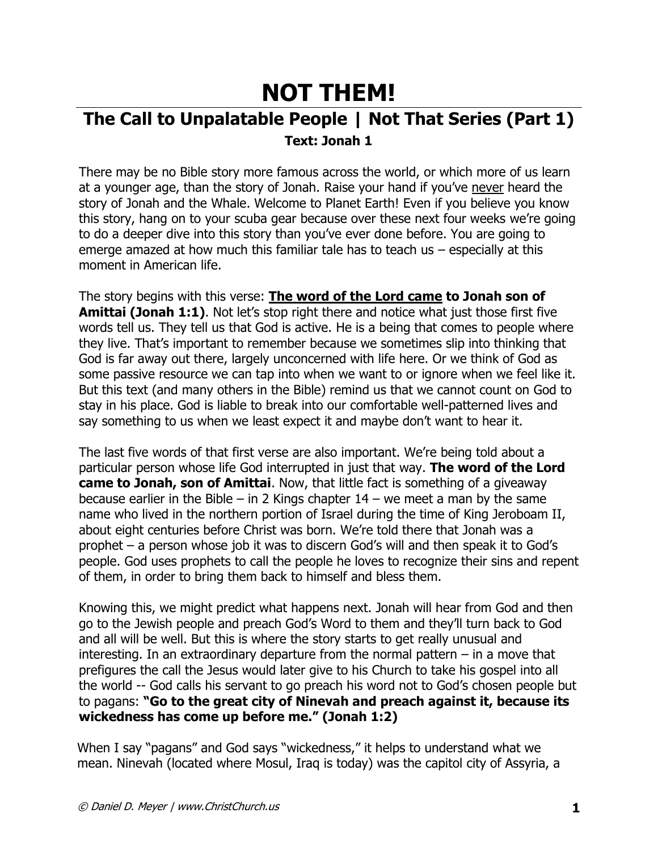## **NOT THEM!**

## **The Call to Unpalatable People | Not That Series (Part 1) Text: Jonah 1**

There may be no Bible story more famous across the world, or which more of us learn at a younger age, than the story of Jonah. Raise your hand if you've never heard the story of Jonah and the Whale. Welcome to Planet Earth! Even if you believe you know this story, hang on to your scuba gear because over these next four weeks we're going to do a deeper dive into this story than you've ever done before. You are going to emerge amazed at how much this familiar tale has to teach us – especially at this moment in American life.

The story begins with this verse: **The word of the Lord came to Jonah son of Amittai (Jonah 1:1)**. Not let's stop right there and notice what just those first five words tell us. They tell us that God is active. He is a being that comes to people where they live. That's important to remember because we sometimes slip into thinking that God is far away out there, largely unconcerned with life here. Or we think of God as some passive resource we can tap into when we want to or ignore when we feel like it. But this text (and many others in the Bible) remind us that we cannot count on God to stay in his place. God is liable to break into our comfortable well-patterned lives and say something to us when we least expect it and maybe don't want to hear it.

The last five words of that first verse are also important. We're being told about a particular person whose life God interrupted in just that way. **The word of the Lord came to Jonah, son of Amittai**. Now, that little fact is something of a giveaway because earlier in the Bible – in 2 Kings chapter  $14$  – we meet a man by the same name who lived in the northern portion of Israel during the time of King Jeroboam II, about eight centuries before Christ was born. We're told there that Jonah was a prophet – a person whose job it was to discern God's will and then speak it to God's people. God uses prophets to call the people he loves to recognize their sins and repent of them, in order to bring them back to himself and bless them.

Knowing this, we might predict what happens next. Jonah will hear from God and then go to the Jewish people and preach God's Word to them and they'll turn back to God and all will be well. But this is where the story starts to get really unusual and interesting. In an extraordinary departure from the normal pattern – in a move that prefigures the call the Jesus would later give to his Church to take his gospel into all the world -- God calls his servant to go preach his word not to God's chosen people but to pagans: **"Go to the great city of Ninevah and preach against it, because its wickedness has come up before me." (Jonah 1:2)**

When I say "pagans" and God says "wickedness," it helps to understand what we mean. Ninevah (located where Mosul, Iraq is today) was the capitol city of Assyria, a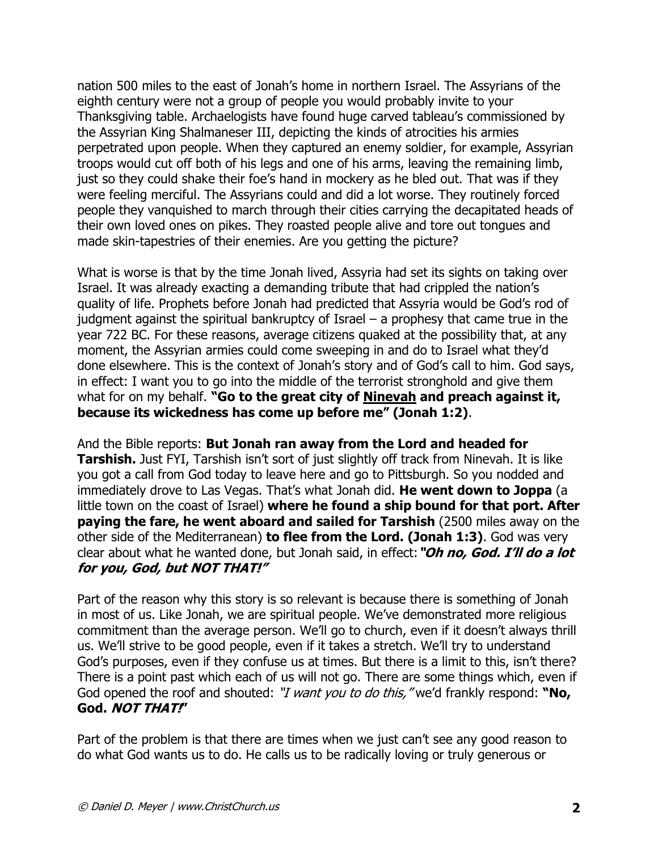nation 500 miles to the east of Jonah's home in northern Israel. The Assyrians of the eighth century were not a group of people you would probably invite to your Thanksgiving table. Archaelogists have found huge carved tableau's commissioned by the Assyrian King Shalmaneser III, depicting the kinds of atrocities his armies perpetrated upon people. When they captured an enemy soldier, for example, Assyrian troops would cut off both of his legs and one of his arms, leaving the remaining limb, just so they could shake their foe's hand in mockery as he bled out. That was if they were feeling merciful. The Assyrians could and did a lot worse. They routinely forced people they vanquished to march through their cities carrying the decapitated heads of their own loved ones on pikes. They roasted people alive and tore out tongues and made skin-tapestries of their enemies. Are you getting the picture?

What is worse is that by the time Jonah lived, Assyria had set its sights on taking over Israel. It was already exacting a demanding tribute that had crippled the nation's quality of life. Prophets before Jonah had predicted that Assyria would be God's rod of judgment against the spiritual bankruptcy of Israel – a prophesy that came true in the year 722 BC. For these reasons, average citizens quaked at the possibility that, at any moment, the Assyrian armies could come sweeping in and do to Israel what they'd done elsewhere. This is the context of Jonah's story and of God's call to him. God says, in effect: I want you to go into the middle of the terrorist stronghold and give them what for on my behalf. **"Go to the great city of Ninevah and preach against it, because its wickedness has come up before me" (Jonah 1:2)**.

And the Bible reports: **But Jonah ran away from the Lord and headed for Tarshish.** Just FYI, Tarshish isn't sort of just slightly off track from Ninevah. It is like you got a call from God today to leave here and go to Pittsburgh. So you nodded and immediately drove to Las Vegas. That's what Jonah did. **He went down to Joppa** (a little town on the coast of Israel) **where he found a ship bound for that port. After paying the fare, he went aboard and sailed for Tarshish** (2500 miles away on the other side of the Mediterranean) **to flee from the Lord. (Jonah 1:3)**. God was very clear about what he wanted done, but Jonah said, in effect:**"Oh no, God. I'll do <sup>a</sup> lot for you, God, but NOT THAT!"**

Part of the reason why this story is so relevant is because there is something of Jonah in most of us. Like Jonah, we are spiritual people. We've demonstrated more religious commitment than the average person. We'll go to church, even if it doesn't always thrill us. We'll strive to be good people, even if it takes a stretch. We'll try to understand God's purposes, even if they confuse us at times. But there is a limit to this, isn't there? There is a point past which each of us will not go. There are some things which, even if God opened the roof and shouted: "I want you to do this," we'd frankly respond: **"No, God. NOT THAT!"**

Part of the problem is that there are times when we just can't see any good reason to do what God wants us to do. He calls us to be radically loving or truly generous or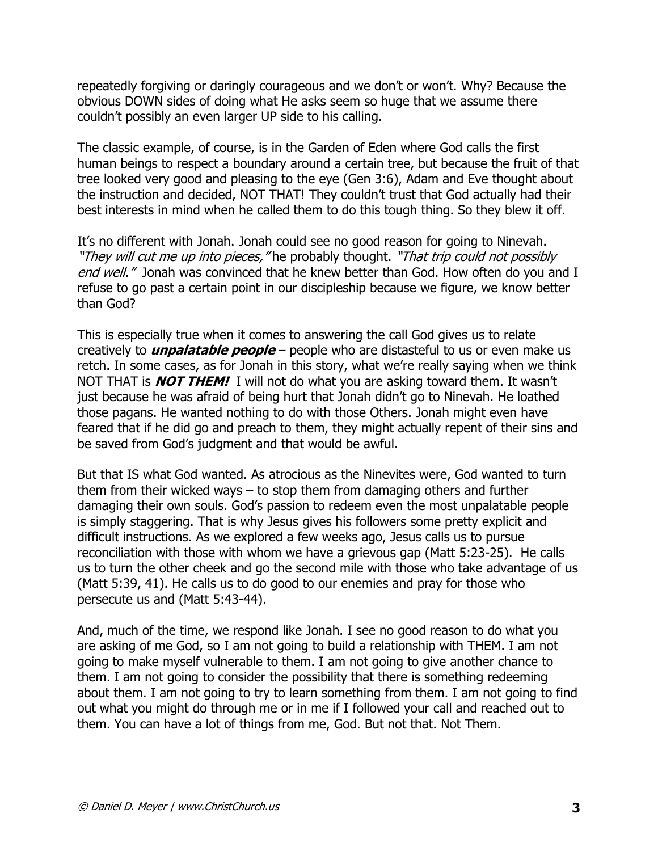repeatedly forgiving or daringly courageous and we don't or won't. Why? Because the obvious DOWN sides of doing what He asks seem so huge that we assume there couldn't possibly an even larger UP side to his calling.

The classic example, of course, is in the Garden of Eden where God calls the first human beings to respect a boundary around a certain tree, but because the fruit of that tree looked very good and pleasing to the eye (Gen 3:6), Adam and Eve thought about the instruction and decided, NOT THAT! They couldn't trust that God actually had their best interests in mind when he called them to do this tough thing. So they blew it off.

It's no different with Jonah. Jonah could see no good reason for going to Ninevah. "They will cut me up into pieces, "he probably thought. "That trip could not possibly end well." Jonah was convinced that he knew better than God. How often do you and I refuse to go past a certain point in our discipleship because we figure, we know better than God?

This is especially true when it comes to answering the call God gives us to relate creatively to **unpalatable people** – people who are distasteful to us or even make us retch. In some cases, as for Jonah in this story, what we're really saying when we think NOT THAT is **NOT THEM!** I will not do what you are asking toward them. It wasn't just because he was afraid of being hurt that Jonah didn't go to Ninevah. He loathed those pagans. He wanted nothing to do with those Others. Jonah might even have feared that if he did go and preach to them, they might actually repent of their sins and be saved from God's judgment and that would be awful.

But that IS what God wanted. As atrocious as the Ninevites were, God wanted to turn them from their wicked ways – to stop them from damaging others and further damaging their own souls. God's passion to redeem even the most unpalatable people is simply staggering. That is why Jesus gives his followers some pretty explicit and difficult instructions. As we explored a few weeks ago, Jesus calls us to pursue reconciliation with those with whom we have a grievous gap (Matt 5:23-25). He calls us to turn the other cheek and go the second mile with those who take advantage of us (Matt 5:39, 41). He calls us to do good to our enemies and pray for those who persecute us and (Matt 5:43-44).

And, much of the time, we respond like Jonah. I see no good reason to do what you are asking of me God, so I am not going to build a relationship with THEM. I am not going to make myself vulnerable to them. I am not going to give another chance to them. I am not going to consider the possibility that there is something redeeming about them. I am not going to try to learn something from them. I am not going to find out what you might do through me or in me if I followed your call and reached out to them. You can have a lot of things from me, God. But not that. Not Them.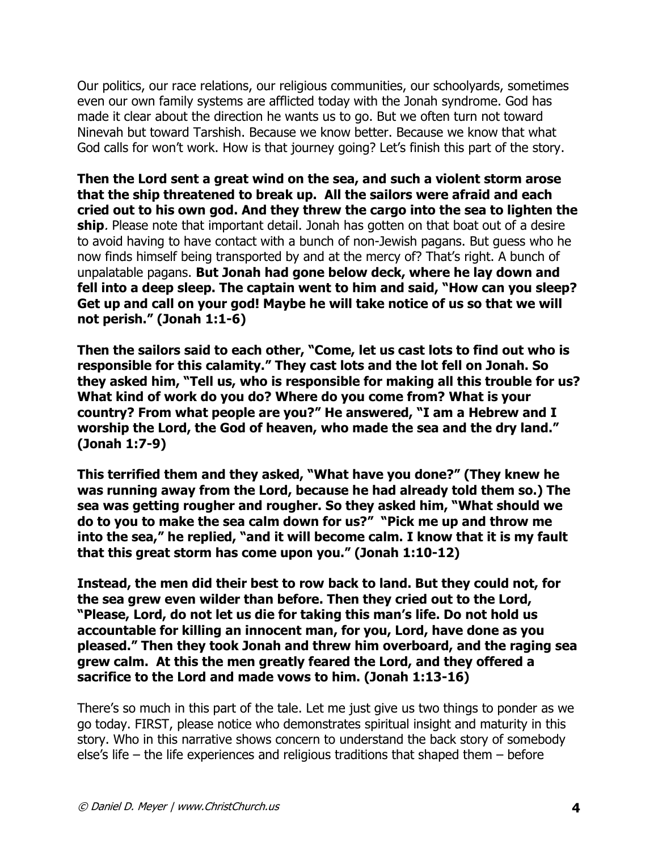Our politics, our race relations, our religious communities, our schoolyards, sometimes even our own family systems are afflicted today with the Jonah syndrome. God has made it clear about the direction he wants us to go. But we often turn not toward Ninevah but toward Tarshish. Because we know better. Because we know that what God calls for won't work. How is that journey going? Let's finish this part of the story.

**Then the Lord sent a great wind on the sea, and such a violent storm arose that the ship threatened to break up. All the sailors were afraid and each cried out to his own god. And they threw the cargo into the sea to lighten the ship**. Please note that important detail. Jonah has gotten on that boat out of a desire to avoid having to have contact with a bunch of non-Jewish pagans. But guess who he now finds himself being transported by and at the mercy of? That's right. A bunch of unpalatable pagans. **But Jonah had gone below deck, where he lay down and fell into a deep sleep. The captain went to him and said, "How can you sleep? Get up and call on your god! Maybe he will take notice of us so that we will not perish." (Jonah 1:1-6)**

**Then the sailors said to each other, "Come, let us cast lots to find out who is responsible for this calamity." They cast lots and the lot fell on Jonah. So they asked him, "Tell us, who is responsible for making all this trouble for us? What kind of work do you do? Where do you come from? What is your country? From what people are you?" He answered, "I am a Hebrew and I worship the Lord, the God of heaven, who made the sea and the dry land." (Jonah 1:7-9)**

**This terrified them and they asked, "What have you done?" (They knew he was running away from the Lord, because he had already told them so.) The sea was getting rougher and rougher. So they asked him, "What should we do to you to make the sea calm down for us?" "Pick me up and throw me into the sea," he replied, "and it will become calm. I know that it is my fault that this great storm has come upon you." (Jonah 1:10-12)**

**Instead, the men did their best to row back to land. But they could not, for the sea grew even wilder than before. Then they cried out to the Lord, "Please, Lord, do not let us die for taking this man's life. Do not hold us accountable for killing an innocent man, for you, Lord, have done as you pleased." Then they took Jonah and threw him overboard, and the raging sea grew calm. At this the men greatly feared the Lord, and they offered a sacrifice to the Lord and made vows to him. (Jonah 1:13-16)**

There's so much in this part of the tale. Let me just give us two things to ponder as we go today. FIRST, please notice who demonstrates spiritual insight and maturity in this story. Who in this narrative shows concern to understand the back story of somebody else's life – the life experiences and religious traditions that shaped them – before